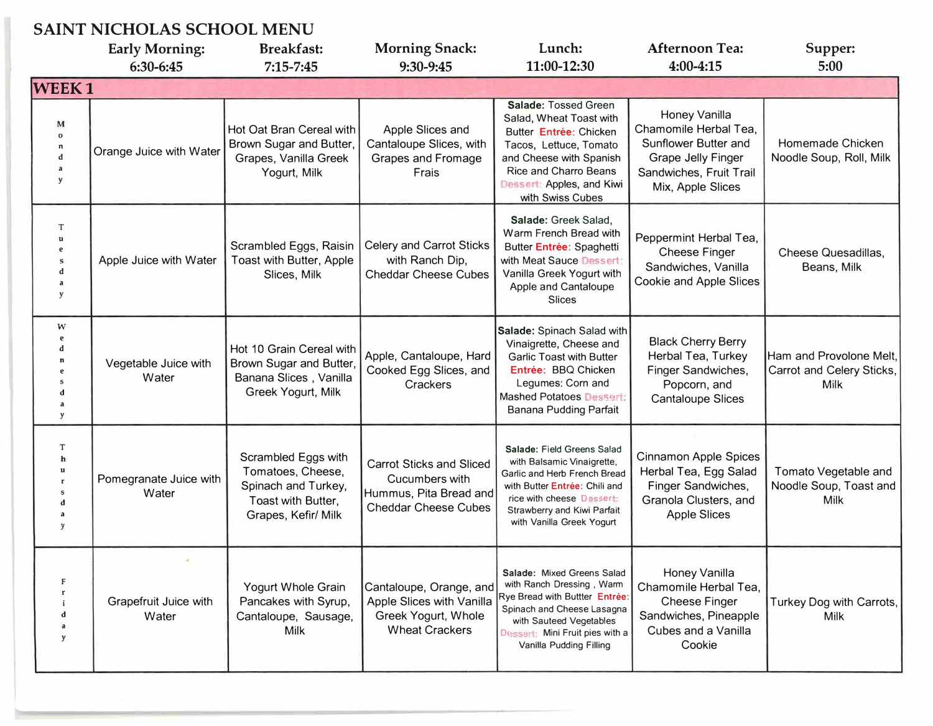## **SAINT NICHOLAS SCHOOL MENU**

|                                                          | <b>Early Morning:</b>                           | <b>Breakfast:</b>                                                                                            | <b>Morning Snack:</b>                                                                                      | Lunch:                                                                                                                                                                                                             | <b>Afternoon Tea:</b>                                                                                                                       | Supper:                                                       |
|----------------------------------------------------------|-------------------------------------------------|--------------------------------------------------------------------------------------------------------------|------------------------------------------------------------------------------------------------------------|--------------------------------------------------------------------------------------------------------------------------------------------------------------------------------------------------------------------|---------------------------------------------------------------------------------------------------------------------------------------------|---------------------------------------------------------------|
|                                                          | 6:30-6:45                                       | $7:15 - 7:45$                                                                                                | 9:30-9:45                                                                                                  | 11:00-12:30                                                                                                                                                                                                        | 4:00-4:15                                                                                                                                   | 5:00                                                          |
| <b>WEEK1</b>                                             |                                                 |                                                                                                              |                                                                                                            |                                                                                                                                                                                                                    |                                                                                                                                             |                                                               |
| M<br>$\Omega$<br>$\mathbf n$<br>d<br>$\overline{a}$<br>y | Orange Juice with Water                         | Hot Oat Bran Cereal with<br>Brown Sugar and Butter,<br>Grapes, Vanilla Greek<br>Yogurt, Milk                 | Apple Slices and<br>Cantaloupe Slices, with<br><b>Grapes and Fromage</b><br>Frais                          | Salade: Tossed Green<br>Salad, Wheat Toast with<br>Butter Entrée: Chicken<br>Tacos, Lettuce, Tomato<br>and Cheese with Spanish<br><b>Rice and Charro Beans</b><br>Dessert: Apples, and Kiwi<br>with Swiss Cubes    | Honey Vanilla<br>Chamomile Herbal Tea,<br>Sunflower Butter and<br><b>Grape Jelly Finger</b><br>Sandwiches, Fruit Trail<br>Mix, Apple Slices | Homemade Chicken<br>Noodle Soup, Roll, Milk                   |
| T<br>$\mathbf{u}$<br>e<br>d<br>y                         | Apple Juice with Water                          | Scrambled Eggs, Raisin<br>Toast with Butter, Apple<br>Slices, Milk                                           | Celery and Carrot Sticks<br>with Ranch Dip,<br><b>Cheddar Cheese Cubes</b>                                 | Salade: Greek Salad,<br>Warm French Bread with<br>Butter Entrée: Spaghetti<br>with Meat Sauce Dessert:<br>Vanilla Greek Yogurt with<br>Apple and Cantaloupe<br>Slices                                              | Peppermint Herbal Tea,<br><b>Cheese Finger</b><br>Sandwiches, Vanilla<br>Cookie and Apple Slices                                            | <b>Cheese Quesadillas,</b><br>Beans, Milk                     |
| W<br>e<br>d<br>y                                         | Vegetable Juice with<br>Water                   | Hot 10 Grain Cereal with<br>Brown Sugar and Butter,<br>Banana Slices, Vanilla<br>Greek Yogurt, Milk          | Apple, Cantaloupe, Hard<br>Cooked Egg Slices, and<br>Crackers                                              | Salade: Spinach Salad with<br>Vinaigrette, Cheese and<br><b>Garlic Toast with Butter</b><br>Entrée: BBQ Chicken<br>Legumes: Corn and<br><b>Mashed Potatoes Dessert:</b><br><b>Banana Pudding Parfait</b>           | <b>Black Cherry Berry</b><br>Herbal Tea, Turkey<br>Finger Sandwiches,<br>Popcorn, and<br><b>Cantaloupe Slices</b>                           | Ham and Provolone Melt,<br>Carrot and Celery Sticks,<br>Milk  |
| T<br>$\mathbf{h}$<br>$\mathbf{u}$                        | Pomegranate Juice with<br>Water                 | Scrambled Eggs with<br>Tomatoes, Cheese,<br>Spinach and Turkey,<br>Toast with Butter,<br>Grapes, Kefir/ Milk | <b>Carrot Sticks and Sliced</b><br>Cucumbers with<br>Hummus, Pita Bread and<br><b>Cheddar Cheese Cubes</b> | Salade: Field Greens Salad<br>with Balsamic Vinaigrette,<br>Garlic and Herb French Bread<br>with Butter Entrée: Chili and<br>rice with cheese Dessert:<br>Strawberry and Kiwi Parfait<br>with Vanilla Greek Yogurt | <b>Cinnamon Apple Spices</b><br>Herbal Tea, Egg Salad<br>Finger Sandwiches,<br>Granola Clusters, and<br><b>Apple Slices</b>                 | Tomato Vegetable and<br>Noodle Soup, Toast and<br><b>Milk</b> |
| F<br>y                                                   | $\mathcal{M}$<br>Grapefruit Juice with<br>Water | Yogurt Whole Grain<br>Pancakes with Syrup,<br>Cantaloupe, Sausage,<br>Milk                                   | Cantaloupe, Orange, and<br>Apple Slices with Vanilla<br>Greek Yogurt, Whole<br><b>Wheat Crackers</b>       | Salade: Mixed Greens Salad<br>with Ranch Dressing, Warm<br>Rye Bread with Buttter Entrée:<br>Spinach and Cheese Lasagna<br>with Sauteed Vegetables<br>Dessert: Mini Fruit pies with a<br>Vanilla Pudding Filling   | Honey Vanilla<br>Chamomile Herbal Tea,<br><b>Cheese Finger</b><br>Sandwiches, Pineapple<br>Cubes and a Vanilla<br>Cookie                    | Turkey Dog with Carrots,<br>Milk                              |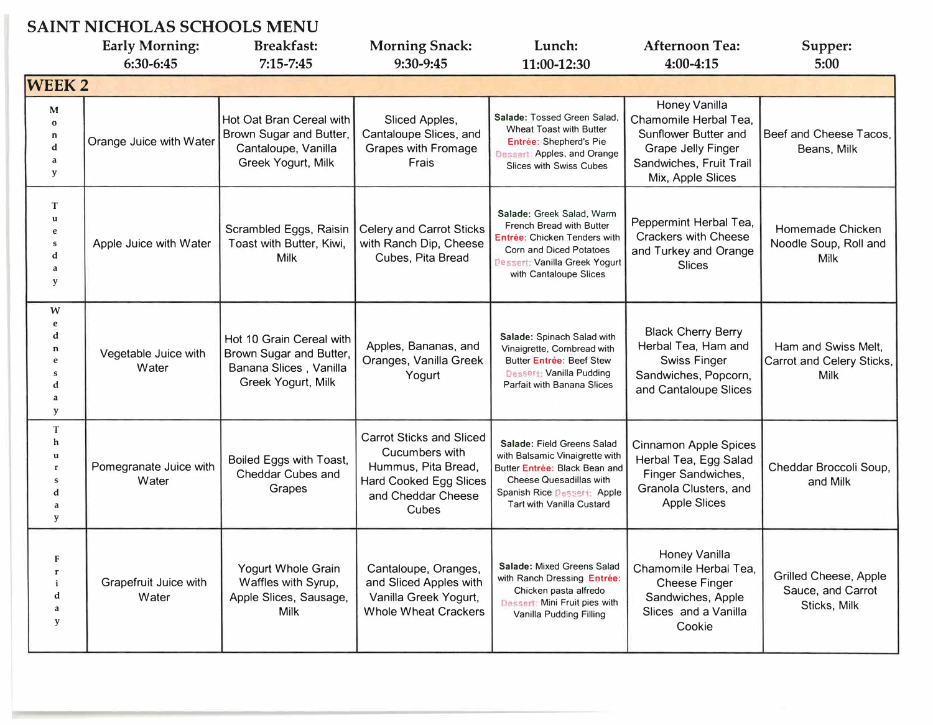| <b>SAINT NICHOLAS SCHOOLS MENU</b>              |                                 |                                                                                                     |                                                                                                                                          |                                                                                                                                                                                             |                                                                                                                                             |                                                                   |
|-------------------------------------------------|---------------------------------|-----------------------------------------------------------------------------------------------------|------------------------------------------------------------------------------------------------------------------------------------------|---------------------------------------------------------------------------------------------------------------------------------------------------------------------------------------------|---------------------------------------------------------------------------------------------------------------------------------------------|-------------------------------------------------------------------|
|                                                 | <b>Early Morning:</b>           | <b>Breakfast:</b>                                                                                   | <b>Morning Snack:</b>                                                                                                                    | Lunch:                                                                                                                                                                                      | <b>Afternoon Tea:</b>                                                                                                                       | Supper:                                                           |
|                                                 | 6:30-6:45                       | $7:15 - 7:45$                                                                                       | 9:30-9:45                                                                                                                                | 11:00-12:30                                                                                                                                                                                 | $4:00 - 4:15$                                                                                                                               | 5:00                                                              |
| <b>WEEK2</b>                                    |                                 |                                                                                                     |                                                                                                                                          |                                                                                                                                                                                             |                                                                                                                                             |                                                                   |
| M<br>$\mathbf{o}$<br>n<br>$\mathbf d$<br>a<br>y | Orange Juice with Water         | Hot Oat Bran Cereal with<br>Brown Sugar and Butter,<br>Cantaloupe, Vanilla<br>Greek Yogurt, Milk    | Sliced Apples,<br>Cantaloupe Slices, and<br>Grapes with Fromage<br>Frais                                                                 | Salade: Tossed Green Salad<br><b>Wheat Toast with Butter</b><br>Entrée: Shepherd's Pie<br>Dessert: Apples, and Orange<br><b>Slices with Swiss Cubes</b>                                     | Honey Vanilla<br>Chamomile Herbal Tea,<br>Sunflower Butter and<br><b>Grape Jelly Finger</b><br>Sandwiches, Fruit Trail<br>Mix, Apple Slices | Beef and Cheese Tacos,<br>Beans, Milk                             |
| T<br>u<br>e<br>S<br>d<br>a<br>y                 | Apple Juice with Water          | Scrambled Eggs, Raisin<br>Toast with Butter, Kiwi,<br><b>Milk</b>                                   | <b>Celery and Carrot Sticks</b><br>with Ranch Dip, Cheese<br>Cubes, Pita Bread                                                           | Salade: Greek Salad, Warm<br><b>French Bread with Butter</b><br>Entrée: Chicken Tenders with<br>Corn and Diced Potatoes<br><b>Dessert: Vanilla Greek Yogurt</b><br>with Cantaloupe Slices   | Peppermint Herbal Tea,<br><b>Crackers with Cheese</b><br>and Turkey and Orange<br><b>Slices</b>                                             | Homemade Chicken<br>Noodle Soup, Roll and<br><b>Milk</b>          |
| W<br>e<br>d<br>n<br>e<br>s<br>d<br>a<br>y       | Vegetable Juice with<br>Water   | Hot 10 Grain Cereal with<br>Brown Sugar and Butter,<br>Banana Slices, Vanilla<br>Greek Yogurt, Milk | Apples, Bananas, and<br>Oranges, Vanilla Greek<br>Yogurt                                                                                 | Salade: Spinach Salad with<br>Vinaigrette, Cornbread with<br><b>Butter Entrée: Beef Stew</b><br><b>Dessert: Vanilla Pudding</b><br><b>Parfait with Banana Slices</b>                        | <b>Black Cherry Berry</b><br>Herbal Tea, Ham and<br><b>Swiss Finger</b><br>Sandwiches, Popcorn,<br>and Cantaloupe Slices                    | Ham and Swiss Melt,<br>Carrot and Celery Sticks,<br><b>Milk</b>   |
| T<br>h<br>u<br>$\mathbf{r}$<br>S<br>d<br>a<br>y | Pomegranate Juice with<br>Water | Boiled Eggs with Toast,<br>Cheddar Cubes and<br>Grapes                                              | <b>Carrot Sticks and Sliced</b><br>Cucumbers with<br>Hummus, Pita Bread,<br><b>Hard Cooked Egg Slices</b><br>and Cheddar Cheese<br>Cubes | Salade: Field Greens Salad<br>with Balsamic Vinaigrette with<br>Butter Entrée: Black Bean and<br>Cheese Quesadillas with<br>Spanish Rice Dessert: Apple<br><b>Tart with Vanilla Custard</b> | <b>Cinnamon Apple Spices</b><br>Herbal Tea, Egg Salad<br>Finger Sandwiches,<br>Granola Clusters, and<br><b>Apple Slices</b>                 | Cheddar Broccoli Soup,<br>and Milk                                |
| F<br>$\mathbf{r}$<br>i<br>d<br>a<br>y           | Grapefruit Juice with<br>Water  | Yogurt Whole Grain<br>Waffles with Syrup,<br>Apple Slices, Sausage,<br>Milk                         | Cantaloupe, Oranges,<br>and Sliced Apples with<br>Vanilla Greek Yogurt,<br><b>Whole Wheat Crackers</b>                                   | Salade: Mixed Greens Salad<br>with Ranch Dressing Entrée:<br>Chicken pasta alfredo<br>Dessert: Mini Fruit pies with<br>Vanilla Pudding Filling                                              | Honey Vanilla<br>Chamomile Herbal Tea,<br><b>Cheese Finger</b><br>Sandwiches, Apple<br>Slices and a Vanilla<br>Cookie                       | <b>Grilled Cheese, Apple</b><br>Sauce, and Carrot<br>Sticks, Milk |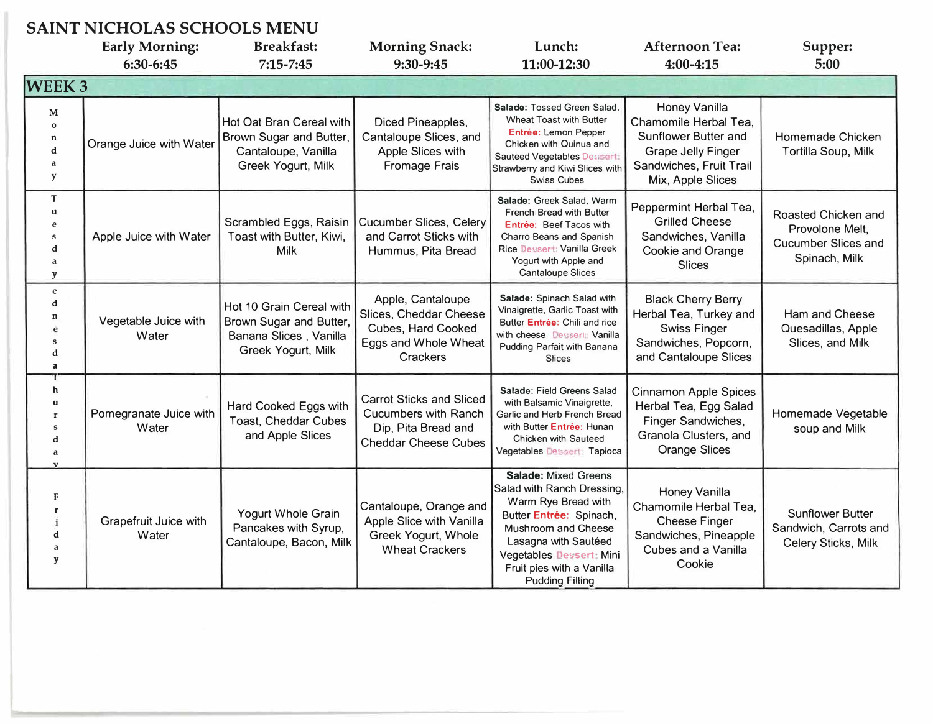## **SAINT NICHOLAS SCHOOLS MENU**

|                                                  | omna menolmo ochoolo m.<br><b>Early Morning:</b> | <b>Breakfast:</b>                                                                                   | <b>Morning Snack:</b>                                                                                                | Lunch:                                                                                                                                                                                                                                               | <b>Afternoon Tea:</b>                                                                                                                              | Supper:                                                                               |
|--------------------------------------------------|--------------------------------------------------|-----------------------------------------------------------------------------------------------------|----------------------------------------------------------------------------------------------------------------------|------------------------------------------------------------------------------------------------------------------------------------------------------------------------------------------------------------------------------------------------------|----------------------------------------------------------------------------------------------------------------------------------------------------|---------------------------------------------------------------------------------------|
|                                                  | 6:30-6:45                                        | $7:15 - 7:45$                                                                                       | 9:30-9:45                                                                                                            | 11:00-12:30                                                                                                                                                                                                                                          | 4:00-4:15                                                                                                                                          | 5:00                                                                                  |
| <b>WEEK3</b>                                     |                                                  |                                                                                                     |                                                                                                                      |                                                                                                                                                                                                                                                      |                                                                                                                                                    |                                                                                       |
| M<br>$\Omega$<br>n<br>d<br>a<br>y                | Orange Juice with Water                          | Hot Oat Bran Cereal with<br>Brown Sugar and Butter<br>Cantaloupe, Vanilla<br>Greek Yogurt, Milk     | Diced Pineapples,<br>Cantaloupe Slices, and<br>Apple Slices with<br><b>Fromage Frais</b>                             | Salade: Tossed Green Salad.<br>Wheat Toast with Butter<br>Entrée: Lemon Pepper<br>Chicken with Quinua and<br>Sauteed Vegetables Dessert:<br>Strawberry and Kiwi Slices with<br><b>Swiss Cubes</b>                                                    | <b>Honey Vanilla</b><br>Chamomile Herbal Tea,<br>Sunflower Butter and<br><b>Grape Jelly Finger</b><br>Sandwiches, Fruit Trail<br>Mix, Apple Slices | Homemade Chicken<br>Tortilla Soup, Milk                                               |
| T<br>u<br>e<br>s<br>d<br>a<br>y                  | Apple Juice with Water                           | Scrambled Eggs, Raisin<br>Toast with Butter, Kiwi,<br><b>Milk</b>                                   | <b>Cucumber Slices, Celery</b><br>and Carrot Sticks with<br>Hummus, Pita Bread                                       | Salade: Greek Salad, Warm<br>French Bread with Butter<br>Entrée: Beef Tacos with<br>Charro Beans and Spanish<br>Rice Dessert: Vanilla Greek<br>Yogurt with Apple and<br><b>Cantaloupe Slices</b>                                                     | Peppermint Herbal Tea,<br><b>Grilled Cheese</b><br>Sandwiches, Vanilla<br>Cookie and Orange<br><b>Slices</b>                                       | Roasted Chicken and<br>Provolone Melt,<br><b>Cucumber Slices and</b><br>Spinach, Milk |
| $\mathbf e$<br>d<br>n<br>ė<br>S<br>d<br>a        | Vegetable Juice with<br>Water                    | Hot 10 Grain Cereal with<br>Brown Sugar and Butter,<br>Banana Slices, Vanilla<br>Greek Yogurt, Milk | Apple, Cantaloupe<br>Slices, Cheddar Cheese<br>Cubes, Hard Cooked<br>Eggs and Whole Wheat<br>Crackers                | Salade: Spinach Salad with<br>Vinaigrette, Garlic Toast with<br>Butter Entrée: Chili and rice<br>with cheese Dessert: Vanilla<br>Pudding Parfait with Banana<br><b>Slices</b>                                                                        | <b>Black Cherry Berry</b><br>Herbal Tea, Turkey and<br><b>Swiss Finger</b><br>Sandwiches, Popcorn,<br>and Cantaloupe Slices                        | Ham and Cheese<br>Quesadillas, Apple<br>Slices, and Milk                              |
| h<br>u<br>r<br>s<br>d<br>a                       | Pomegranate Juice with<br>Water                  | Hard Cooked Eggs with<br>Toast, Cheddar Cubes<br>and Apple Slices                                   | <b>Carrot Sticks and Sliced</b><br><b>Cucumbers with Ranch</b><br>Dip, Pita Bread and<br><b>Cheddar Cheese Cubes</b> | Salade: Field Greens Salad<br>with Balsamic Vinaigrette,<br>Garlic and Herb French Bread<br>with Butter Entrée: Hunan<br>Chicken with Sauteed<br>Vegetables Dessert: Tapioca                                                                         | <b>Cinnamon Apple Spices</b><br>Herbal Tea, Egg Salad<br>Finger Sandwiches,<br>Granola Clusters, and<br><b>Orange Slices</b>                       | Homemade Vegetable<br>soup and Milk                                                   |
| F<br>$\mathbf{r}$<br>$\mathbf{i}$<br>d<br>a<br>y | Grapefruit Juice with<br>Water                   | Yogurt Whole Grain<br>Pancakes with Syrup,<br>Cantaloupe, Bacon, Milk                               | Cantaloupe, Orange and<br>Apple Slice with Vanilla<br>Greek Yogurt, Whole<br><b>Wheat Crackers</b>                   | <b>Salade: Mixed Greens</b><br>Salad with Ranch Dressing,<br>Warm Rye Bread with<br>Butter Entrée: Spinach,<br>Mushroom and Cheese<br>Lasagna with Sautéed<br><b>Vegetables Dessert: Mini</b><br>Fruit pies with a Vanilla<br><b>Pudding Filling</b> | <b>Honey Vanilla</b><br>Chamomile Herbal Tea,<br><b>Cheese Finger</b><br>Sandwiches, Pineapple<br>Cubes and a Vanilla<br>Cookie                    | <b>Sunflower Butter</b><br>Sandwich, Carrots and<br>Celery Sticks, Milk               |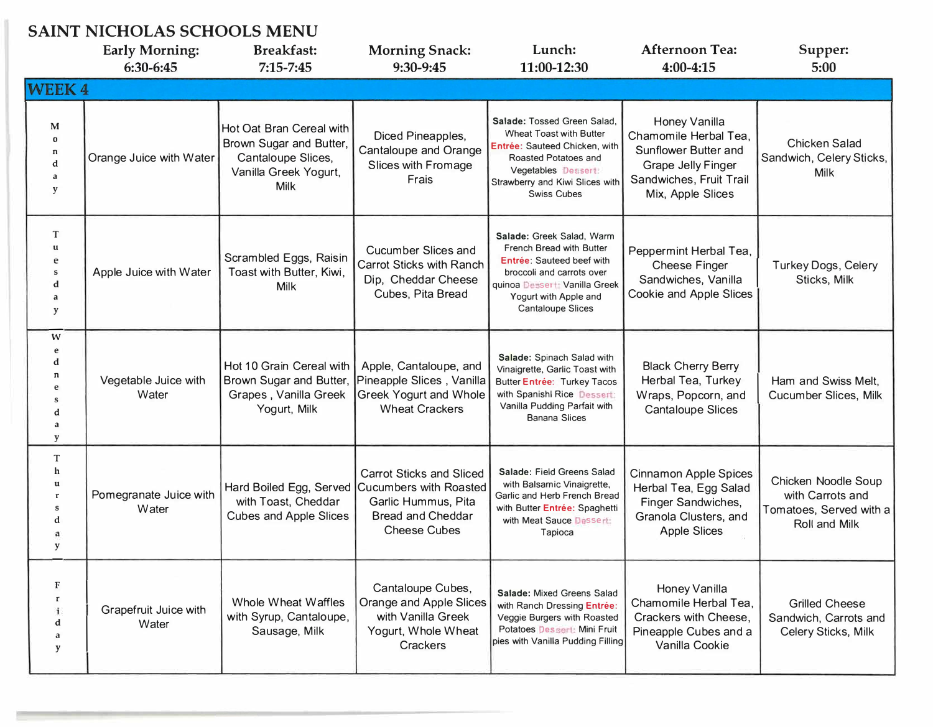## SAINT NICHOLAS SCHOOLS MENU

|                                       | UAIN I NICHOLAU SCHOOLU MENU<br><b>Early Morning:</b><br>6:30-6:45 | <b>Breakfast:</b><br>$7:15 - 7:45$                                                                         | <b>Morning Snack:</b><br>9:30-9:45                                                                                                         | Lunch:<br>11:00-12:30                                                                                                                                                                                        | <b>Afternoon Tea:</b><br>4:00-4:15                                                                                                                 | Supper:<br>5:00                                                                     |
|---------------------------------------|--------------------------------------------------------------------|------------------------------------------------------------------------------------------------------------|--------------------------------------------------------------------------------------------------------------------------------------------|--------------------------------------------------------------------------------------------------------------------------------------------------------------------------------------------------------------|----------------------------------------------------------------------------------------------------------------------------------------------------|-------------------------------------------------------------------------------------|
| <b>WEEK4</b>                          |                                                                    |                                                                                                            |                                                                                                                                            |                                                                                                                                                                                                              |                                                                                                                                                    |                                                                                     |
| M<br>$\Omega$<br>n<br>d<br>a<br>y     | Orange Juice with Water                                            | Hot Oat Bran Cereal with<br>Brown Sugar and Butter,<br>Cantaloupe Slices,<br>Vanilla Greek Yogurt,<br>Milk | Diced Pineapples,<br>Cantaloupe and Orange<br>Slices with Fromage<br>Frais                                                                 | Salade: Tossed Green Salad,<br><b>Wheat Toast with Butter</b><br>Entrée: Sauteed Chicken, with<br>Roasted Potatoes and<br>Vegetables Dessert:<br>Strawberry and Kiwi Slices with<br><b>Swiss Cubes</b>       | <b>Honey Vanilla</b><br>Chamomile Herbal Tea.<br>Sunflower Butter and<br><b>Grape Jelly Finger</b><br>Sandwiches, Fruit Trail<br>Mix, Apple Slices | <b>Chicken Salad</b><br>Sandwich, Celery Sticks,<br>Milk                            |
| T<br>u<br>S<br>d<br>y                 | Apple Juice with Water                                             | Scrambled Eggs, Raisin<br>Toast with Butter, Kiwi,<br><b>Milk</b>                                          | <b>Cucumber Slices and</b><br><b>Carrot Sticks with Ranch</b><br>Dip, Cheddar Cheese<br>Cubes, Pita Bread                                  | Salade: Greek Salad, Warm<br>French Bread with Butter<br><b>Entrée: Sauteed beef with</b><br>broccoli and carrots over<br>quinoa Dessert: Vanilla Greek<br>Yogurt with Apple and<br><b>Cantaloupe Slices</b> | Peppermint Herbal Tea,<br><b>Cheese Finger</b><br>Sandwiches, Vanilla<br>Cookie and Apple Slices                                                   | <b>Turkey Dogs, Celery</b><br>Sticks, Milk                                          |
| W<br>e<br>d<br>n<br>e<br>d<br>a<br>y  | Vegetable Juice with<br>Water                                      | Hot 10 Grain Cereal with<br>Brown Sugar and Butter,<br>Grapes, Vanilla Greek<br>Yogurt, Milk               | Apple, Cantaloupe, and<br>Pineapple Slices, Vanilla<br><b>Greek Yogurt and Whole</b><br><b>Wheat Crackers</b>                              | Salade: Spinach Salad with<br>Vinaigrette, Garlic Toast with<br>Butter Entrée: Turkey Tacos<br>with Spanishl Rice Dessert:<br>Vanilla Pudding Parfait with<br><b>Banana Slices</b>                           | <b>Black Cherry Berry</b><br>Herbal Tea, Turkey<br>Wraps, Popcorn, and<br><b>Cantaloupe Slices</b>                                                 | Ham and Swiss Melt,<br>Cucumber Slices, Milk                                        |
| T<br>h<br>u<br>$\mathbf{r}$<br>S<br>y | Pomegranate Juice with<br>Water                                    | Hard Boiled Egg, Served<br>with Toast, Cheddar<br><b>Cubes and Apple Slices</b>                            | <b>Carrot Sticks and Sliced</b><br><b>Cucumbers with Roasted</b><br>Garlic Hummus, Pita<br><b>Bread and Cheddar</b><br><b>Cheese Cubes</b> | Salade: Field Greens Salad<br>with Balsamic Vinaigrette,<br>Garlic and Herb French Bread<br>with Butter Entrée: Spaghetti<br>with Meat Sauce Dessert:<br>Tapioca                                             | <b>Cinnamon Apple Spices</b><br>Herbal Tea, Egg Salad<br>Finger Sandwiches,<br>Granola Clusters, and<br><b>Apple Slices</b>                        | Chicken Noodle Soup<br>with Carrots and<br>Tomatoes, Served with a<br>Roll and Milk |
| F<br>r<br>i<br>d<br>a<br>y            | Grapefruit Juice with<br>Water                                     | <b>Whole Wheat Waffles</b><br>with Syrup, Cantaloupe,<br>Sausage, Milk                                     | Cantaloupe Cubes,<br>Orange and Apple Slices<br>with Vanilla Greek<br>Yogurt, Whole Wheat<br>Crackers                                      | Salade: Mixed Greens Salad<br>with Ranch Dressing Entrée:<br>Veggie Burgers with Roasted<br>Potatoes Dessert: Mini Fruit<br>pies with Vanilla Pudding Filling                                                | Honey Vanilla<br>Chamomile Herbal Tea,<br>Crackers with Cheese,<br>Pineapple Cubes and a<br>Vanilla Cookie                                         | <b>Grilled Cheese</b><br>Sandwich, Carrots and<br>Celery Sticks, Milk               |